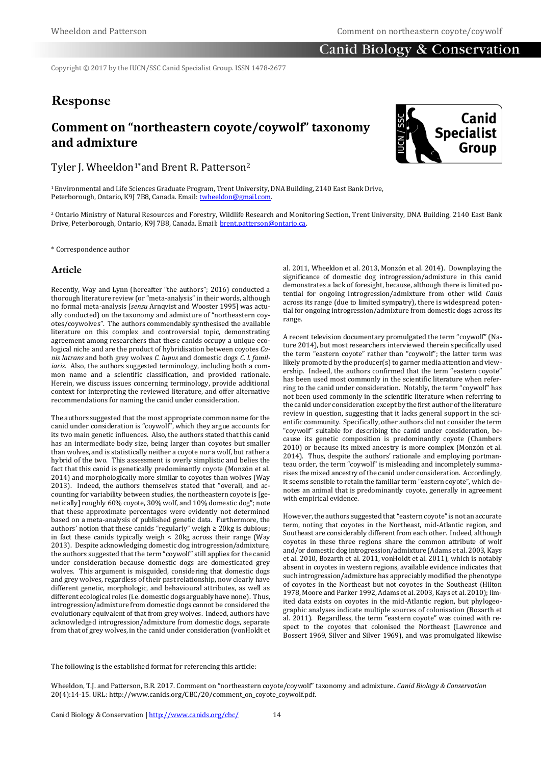### **Canid Biology & Conservation**

Copyright © 2017 by the IUCN/SSC Canid Specialist Group. ISSN 1478-2677

## **Response**

# **Comment on "northeastern coyote/coywolf" taxonomy and admixture**



Tyler J. Wheeldon<sup>1\*</sup>and Brent R. Patterson<sup>2</sup>

<sup>1</sup>Environmental and Life Sciences Graduate Program, Trent University, DNA Building, 2140 East Bank Drive, Peterborough, Ontario, K9J 7B8, Canada. Email[: twheeldon@gmail.com.](http://twheeldon@gmail.com)

<sup>2</sup> Ontario Ministry of Natural Resources and Forestry, Wildlife Research and Monitoring Section, Trent University, DNA Building, 2140 East Bank Drive, Peterborough, Ontario, K9J 7B8, Canada. Email: [brent.patterson@ontario.ca.](mailto:brent.patterson@ontario.ca)

\* Correspondence author

#### **Article**

Recently, Way and Lynn (hereafter "the authors"; 2016) conducted a thorough literature review (or "meta-analysis" in their words, although no formal meta-analysis [*sensu* Arnqvist and Wooster 1995] was actually conducted) on the taxonomy and admixture of "northeastern coyotes/coywolves". The authors commendably synthesised the available literature on this complex and controversial topic, demonstrating agreement among researchers that these canids occupy a unique ecological niche and are the product of hybridisation between coyotes *Canis latrans* and both grey wolves *C. lupus* and domestic dogs *C. l. familiaris*. Also, the authors suggested terminology, including both a common name and a scientific classification, and provided rationale. Herein, we discuss issues concerning terminology, provide additional context for interpreting the reviewed literature, and offer alternative recommendations for naming the canid under consideration.

The authors suggested that the most appropriate common name for the canid under consideration is "coywolf", which they argue accounts for its two main genetic influences. Also, the authors stated that this canid has an intermediate body size, being larger than coyotes but smaller than wolves, and is statistically neither a coyote nor a wolf, but rather a hybrid of the two. This assessment is overly simplistic and belies the fact that this canid is genetically predominantly coyote (Monzón et al. 2014) and morphologically more similar to coyotes than wolves (Way 2013). Indeed, the authors themselves stated that "overall, and accounting for variability between studies, the northeastern coyote is [genetically] roughly 60% coyote, 30% wolf, and 10% domestic dog"; note that these approximate percentages were evidently not determined based on a meta-analysis of published genetic data. Furthermore, the authors' notion that these canids "regularly" weigh ≥ 20kg is dubious; in fact these canids typically weigh < 20kg across their range (Way 2013). Despite acknowledging domestic dog introgression/admixture, the authors suggested that the term "coywolf" still applies for the canid under consideration because domestic dogs are domesticated grey wolves. This argument is misguided, considering that domestic dogs and grey wolves, regardless of their past relationship, now clearly have different genetic, morphologic, and behavioural attributes, as well as different ecological roles (i.e. domestic dogs arguably have none). Thus, introgression/admixture from domestic dogs cannot be considered the evolutionary equivalent of that from grey wolves. Indeed, authors have acknowledged introgression/admixture from domestic dogs, separate from that of grey wolves, in the canid under consideration (vonHoldt et

al. 2011, Wheeldon et al. 2013, Monzón et al. 2014). Downplaying the significance of domestic dog introgression/admixture in this canid demonstrates a lack of foresight, because, although there is limited potential for ongoing introgression/admixture from other wild *Canis* across its range (due to limited sympatry), there is widespread potential for ongoing introgression/admixture from domestic dogs across its range.

A recent television documentary promulgated the term "coywolf" (Nature 2014), but most researchers interviewed therein specifically used the term "eastern coyote" rather than "coywolf"; the latter term was likely promoted by the producer(s) to garner media attention and viewership. Indeed, the authors confirmed that the term "eastern coyote" has been used most commonly in the scientific literature when referring to the canid under consideration. Notably, the term "coywolf" has not been used commonly in the scientific literature when referring to the canid under consideration except by the first author of the literature review in question, suggesting that it lacks general support in the scientific community. Specifically, other authors did not consider the term "coywolf" suitable for describing the canid under consideration, because its genetic composition is predominantly coyote (Chambers 2010) or because its mixed ancestry is more complex (Monzón et al. 2014). Thus, despite the authors' rationale and employing portmanteau order, the term "coywolf" is misleading and incompletely summarises the mixed ancestry of the canid under consideration. Accordingly, it seems sensible to retain the familiar term "eastern coyote", which denotes an animal that is predominantly coyote, generally in agreement with empirical evidence.

However, the authors suggested that "eastern coyote" is not an accurate term, noting that coyotes in the Northeast, mid-Atlantic region, and Southeast are considerably different from each other. Indeed, although coyotes in these three regions share the common attribute of wolf and/or domestic dog introgression/admixture (Adams et al. 2003, Kays et al. 2010, Bozarth et al. 2011, vonHoldt et al. 2011), which is notably absent in coyotes in western regions, available evidence indicates that such introgression/admixture has appreciably modified the phenotype of coyotes in the Northeast but not coyotes in the Southeast (Hilton 1978, Moore and Parker 1992, Adams et al. 2003, Kays et al. 2010); limited data exists on coyotes in the mid-Atlantic region, but phylogeographic analyses indicate multiple sources of colonisation (Bozarth et al. 2011). Regardless, the term "eastern coyote" was coined with respect to the coyotes that colonised the Northeast (Lawrence and Bossert 1969, Silver and Silver 1969), and was promulgated likewise

The following is the established format for referencing this article:

Wheeldon, T.J. and Patterson, B.R. 2017. Comment on "northeastern coyote/coywolf" taxonomy and admixture. *Canid Biology & Conservation* 20(4):14-15. URL: http://www.canids.org/CBC/20/comment\_on\_coyote\_coywolf.pdf.